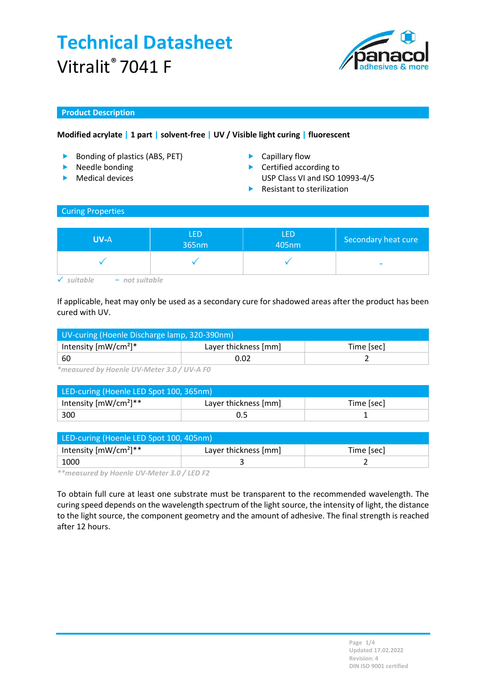

### Product Description

## Modified acrylate | 1 part | solvent-free | UV / Visible light curing | fluorescent

- Bonding of plastics (ABS, PET) Capillary flow
- **Needle bonding**
- $\blacktriangleright$  Medical devices
- 
- ▶ Certified according to USP Class VI and ISO 10993-4/5
- $\blacktriangleright$  Resistant to sterilization

### Curing Properties

| <b>UV-A</b> | <b>LED</b><br>365nm | <b>LED</b><br>405nm | Secondary heat cure |
|-------------|---------------------|---------------------|---------------------|
|             |                     |                     | -                   |

 $\checkmark$  suitable  $-$  not suitable

If applicable, heat may only be used as a secondary cure for shadowed areas after the product has been cured with UV.

| UV-curing (Hoenle Discharge lamp, 320-390nm) |                      |            |  |
|----------------------------------------------|----------------------|------------|--|
| Intensity $[mW/cm^2]^*$                      | Layer thickness [mm] | Time [sec] |  |
| ່ 60                                         | 0.02                 |            |  |

\*measured by Hoenle UV-Meter 3.0 / UV-A F0

| LED-curing (Hoenle LED Spot 100, 365nm) |                      |            |  |
|-----------------------------------------|----------------------|------------|--|
| Intensity $[mW/cm^2]^{**}$              | Layer thickness [mm] | Time [sec] |  |
| 300                                     |                      |            |  |

| LED-curing (Hoenle LED Spot 100, 405nm) |                      |            |  |
|-----------------------------------------|----------------------|------------|--|
| Intensity $[mW/cm^2]^{**}$              | Layer thickness [mm] | Time [sec] |  |
| 1000                                    |                      |            |  |

\*\*measured by Hoenle UV-Meter 3.0 / LED F2

To obtain full cure at least one substrate must be transparent to the recommended wavelength. The curing speed depends on the wavelength spectrum of the light source, the intensity of light, the distance to the light source, the component geometry and the amount of adhesive. The final strength is reached after 12 hours.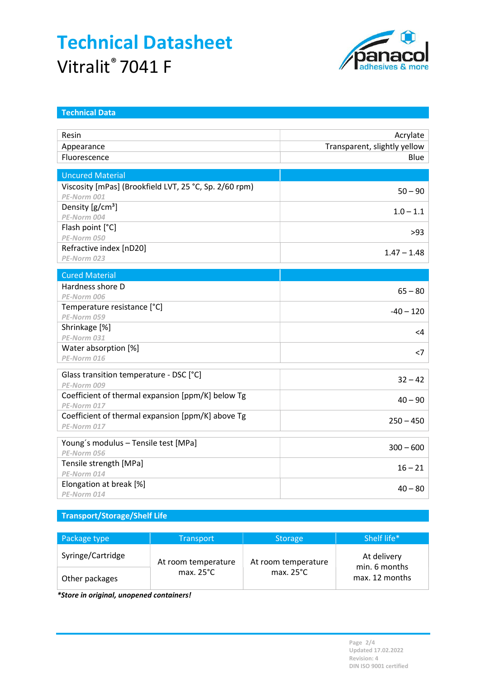

| <b>Technical Data</b>                                  |                              |
|--------------------------------------------------------|------------------------------|
|                                                        |                              |
| Resin                                                  | Acrylate                     |
| Appearance                                             | Transparent, slightly yellow |
| Fluorescence                                           | Blue                         |
| <b>Uncured Material</b>                                |                              |
| Viscosity [mPas] (Brookfield LVT, 25 °C, Sp. 2/60 rpm) |                              |
| PE-Norm 001                                            | $50 - 90$                    |
| Density $[g/cm^3]$                                     |                              |
| PE-Norm 004                                            | $1.0 - 1.1$                  |
| Flash point [°C]                                       |                              |
| PE-Norm 050                                            | >93                          |
| Refractive index [nD20]                                | $1.47 - 1.48$                |
| PE-Norm 023                                            |                              |
| <b>Cured Material</b>                                  |                              |
| Hardness shore D                                       |                              |
| PE-Norm 006                                            | $65 - 80$                    |
| Temperature resistance [°C]                            | $-40 - 120$                  |
| PE-Norm 059                                            |                              |
| Shrinkage [%]                                          | <4                           |
| PE-Norm 031                                            |                              |
| Water absorption [%]                                   | $<$ 7                        |
| PE-Norm 016                                            |                              |
| Glass transition temperature - DSC [°C]                | $32 - 42$                    |
| PE-Norm 009                                            |                              |
| Coefficient of thermal expansion [ppm/K] below Tg      | $40 - 90$                    |
| PE-Norm 017                                            |                              |
| Coefficient of thermal expansion [ppm/K] above Tg      | $250 - 450$                  |
| PE-Norm 017                                            |                              |
| Young's modulus - Tensile test [MPa]                   | $300 - 600$                  |
| PE-Norm 056                                            |                              |
| Tensile strength [MPa]                                 | $16 - 21$                    |
| PE-Norm 014                                            |                              |
| Elongation at break [%]                                | $40 - 80$                    |
| PE-Norm 014                                            |                              |

Transport/Storage/Shelf Life

| Package type      | <b>Transport</b>    | Storage             | Shelf life*                     |
|-------------------|---------------------|---------------------|---------------------------------|
| Syringe/Cartridge | At room temperature | At room temperature | At delivery                     |
| Other packages    | max. $25^{\circ}$ C | max. $25^{\circ}$ C | min. 6 months<br>max. 12 months |

\*Store in original, unopened containers!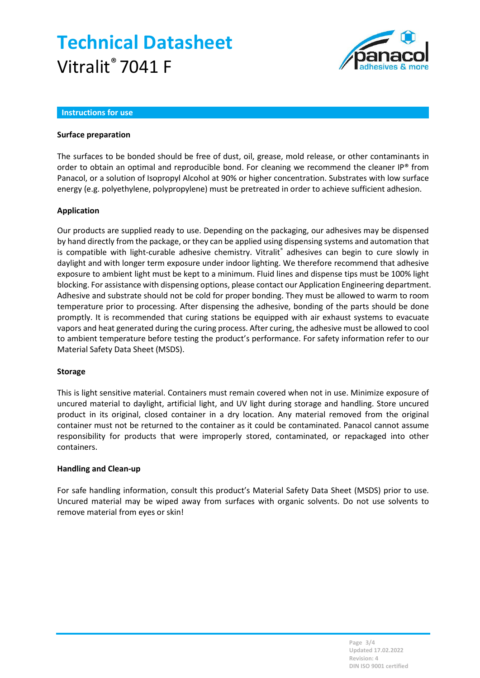

#### Instructions for use

### Surface preparation

The surfaces to be bonded should be free of dust, oil, grease, mold release, or other contaminants in order to obtain an optimal and reproducible bond. For cleaning we recommend the cleaner IP® from Panacol, or a solution of Isopropyl Alcohol at 90% or higher concentration. Substrates with low surface energy (e.g. polyethylene, polypropylene) must be pretreated in order to achieve sufficient adhesion.

### Application

Our products are supplied ready to use. Depending on the packaging, our adhesives may be dispensed by hand directly from the package, or they can be applied using dispensing systems and automation that is compatible with light-curable adhesive chemistry. Vitralit® adhesives can begin to cure slowly in daylight and with longer term exposure under indoor lighting. We therefore recommend that adhesive exposure to ambient light must be kept to a minimum. Fluid lines and dispense tips must be 100% light blocking. For assistance with dispensing options, please contact our Application Engineering department. Adhesive and substrate should not be cold for proper bonding. They must be allowed to warm to room temperature prior to processing. After dispensing the adhesive, bonding of the parts should be done promptly. It is recommended that curing stations be equipped with air exhaust systems to evacuate vapors and heat generated during the curing process. After curing, the adhesive must be allowed to cool to ambient temperature before testing the product's performance. For safety information refer to our Material Safety Data Sheet (MSDS).

#### Storage

This is light sensitive material. Containers must remain covered when not in use. Minimize exposure of uncured material to daylight, artificial light, and UV light during storage and handling. Store uncured product in its original, closed container in a dry location. Any material removed from the original container must not be returned to the container as it could be contaminated. Panacol cannot assume responsibility for products that were improperly stored, contaminated, or repackaged into other containers.

#### Handling and Clean-up

For safe handling information, consult this product's Material Safety Data Sheet (MSDS) prior to use. Uncured material may be wiped away from surfaces with organic solvents. Do not use solvents to remove material from eyes or skin!